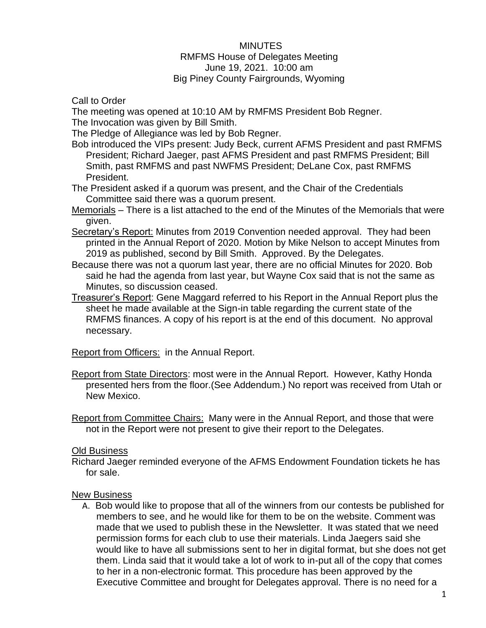## MINUTES RMFMS House of Delegates Meeting June 19, 2021. 10:00 am Big Piney County Fairgrounds, Wyoming

Call to Order

The meeting was opened at 10:10 AM by RMFMS President Bob Regner.

The Invocation was given by Bill Smith.

The Pledge of Allegiance was led by Bob Regner.

Bob introduced the VIPs present: Judy Beck, current AFMS President and past RMFMS President; Richard Jaeger, past AFMS President and past RMFMS President; Bill Smith, past RMFMS and past NWFMS President; DeLane Cox, past RMFMS President.

The President asked if a quorum was present, and the Chair of the Credentials Committee said there was a quorum present.

Memorials – There is a list attached to the end of the Minutes of the Memorials that were given.

- Secretary's Report: Minutes from 2019 Convention needed approval. They had been printed in the Annual Report of 2020. Motion by Mike Nelson to accept Minutes from 2019 as published, second by Bill Smith. Approved. By the Delegates.
- Because there was not a quorum last year, there are no official Minutes for 2020. Bob said he had the agenda from last year, but Wayne Cox said that is not the same as Minutes, so discussion ceased.
- Treasurer's Report: Gene Maggard referred to his Report in the Annual Report plus the sheet he made available at the Sign-in table regarding the current state of the RMFMS finances. A copy of his report is at the end of this document. No approval necessary.

Report from Officers: in the Annual Report.

- Report from State Directors: most were in the Annual Report. However, Kathy Honda presented hers from the floor.(See Addendum.) No report was received from Utah or New Mexico.
- Report from Committee Chairs: Many were in the Annual Report, and those that were not in the Report were not present to give their report to the Delegates.

## **Old Business**

Richard Jaeger reminded everyone of the AFMS Endowment Foundation tickets he has for sale.

## New Business

A. Bob would like to propose that all of the winners from our contests be published for members to see, and he would like for them to be on the website. Comment was made that we used to publish these in the Newsletter. It was stated that we need permission forms for each club to use their materials. Linda Jaegers said she would like to have all submissions sent to her in digital format, but she does not get them. Linda said that it would take a lot of work to in-put all of the copy that comes to her in a non-electronic format. This procedure has been approved by the Executive Committee and brought for Delegates approval. There is no need for a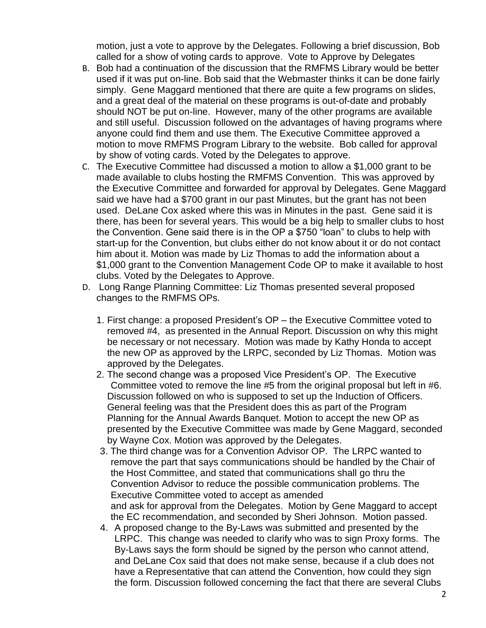motion, just a vote to approve by the Delegates. Following a brief discussion, Bob called for a show of voting cards to approve. Vote to Approve by Delegates

- B. Bob had a continuation of the discussion that the RMFMS Library would be better used if it was put on-line. Bob said that the Webmaster thinks it can be done fairly simply. Gene Maggard mentioned that there are quite a few programs on slides, and a great deal of the material on these programs is out-of-date and probably should NOT be put on-line. However, many of the other programs are available and still useful. Discussion followed on the advantages of having programs where anyone could find them and use them. The Executive Committee approved a motion to move RMFMS Program Library to the website. Bob called for approval by show of voting cards. Voted by the Delegates to approve.
- C. The Executive Committee had discussed a motion to allow a \$1,000 grant to be made available to clubs hosting the RMFMS Convention. This was approved by the Executive Committee and forwarded for approval by Delegates. Gene Maggard said we have had a \$700 grant in our past Minutes, but the grant has not been used. DeLane Cox asked where this was in Minutes in the past. Gene said it is there, has been for several years. This would be a big help to smaller clubs to host the Convention. Gene said there is in the OP a \$750 "loan" to clubs to help with start-up for the Convention, but clubs either do not know about it or do not contact him about it. Motion was made by Liz Thomas to add the information about a \$1,000 grant to the Convention Management Code OP to make it available to host clubs. Voted by the Delegates to Approve.
- D. Long Range Planning Committee: Liz Thomas presented several proposed changes to the RMFMS OPs.
	- 1. First change: a proposed President's OP the Executive Committee voted to removed #4, as presented in the Annual Report. Discussion on why this might be necessary or not necessary. Motion was made by Kathy Honda to accept the new OP as approved by the LRPC, seconded by Liz Thomas. Motion was approved by the Delegates.
	- 2. The second change was a proposed Vice President's OP. The Executive Committee voted to remove the line #5 from the original proposal but left in #6. Discussion followed on who is supposed to set up the Induction of Officers. General feeling was that the President does this as part of the Program Planning for the Annual Awards Banquet. Motion to accept the new OP as presented by the Executive Committee was made by Gene Maggard, seconded by Wayne Cox. Motion was approved by the Delegates.
	- 3. The third change was for a Convention Advisor OP. The LRPC wanted to remove the part that says communications should be handled by the Chair of the Host Committee, and stated that communications shall go thru the Convention Advisor to reduce the possible communication problems. The Executive Committee voted to accept as amended and ask for approval from the Delegates. Motion by Gene Maggard to accept the EC recommendation, and seconded by Sheri Johnson. Motion passed.
	- 4. A proposed change to the By-Laws was submitted and presented by the LRPC. This change was needed to clarify who was to sign Proxy forms. The By-Laws says the form should be signed by the person who cannot attend, and DeLane Cox said that does not make sense, because if a club does not have a Representative that can attend the Convention, how could they sign the form. Discussion followed concerning the fact that there are several Clubs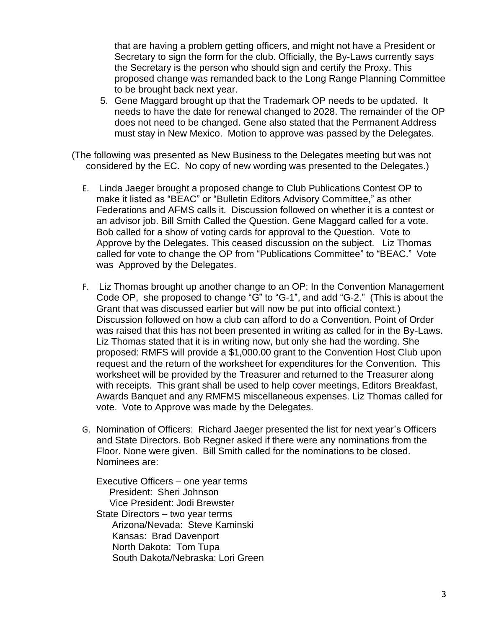that are having a problem getting officers, and might not have a President or Secretary to sign the form for the club. Officially, the By-Laws currently says the Secretary is the person who should sign and certify the Proxy. This proposed change was remanded back to the Long Range Planning Committee to be brought back next year.

5. Gene Maggard brought up that the Trademark OP needs to be updated. It needs to have the date for renewal changed to 2028. The remainder of the OP does not need to be changed. Gene also stated that the Permanent Address must stay in New Mexico. Motion to approve was passed by the Delegates.

(The following was presented as New Business to the Delegates meeting but was not considered by the EC. No copy of new wording was presented to the Delegates.)

- E. Linda Jaeger brought a proposed change to Club Publications Contest OP to make it listed as "BEAC" or "Bulletin Editors Advisory Committee," as other Federations and AFMS calls it. Discussion followed on whether it is a contest or an advisor job. Bill Smith Called the Question. Gene Maggard called for a vote. Bob called for a show of voting cards for approval to the Question. Vote to Approve by the Delegates. This ceased discussion on the subject. Liz Thomas called for vote to change the OP from "Publications Committee" to "BEAC." Vote was Approved by the Delegates.
- F. Liz Thomas brought up another change to an OP: In the Convention Management Code OP, she proposed to change "G" to "G-1", and add "G-2." (This is about the Grant that was discussed earlier but will now be put into official context.) Discussion followed on how a club can afford to do a Convention. Point of Order was raised that this has not been presented in writing as called for in the By-Laws. Liz Thomas stated that it is in writing now, but only she had the wording. She proposed: RMFS will provide a \$1,000.00 grant to the Convention Host Club upon request and the return of the worksheet for expenditures for the Convention. This worksheet will be provided by the Treasurer and returned to the Treasurer along with receipts. This grant shall be used to help cover meetings, Editors Breakfast, Awards Banquet and any RMFMS miscellaneous expenses. Liz Thomas called for vote. Vote to Approve was made by the Delegates.
- G. Nomination of Officers: Richard Jaeger presented the list for next year's Officers and State Directors. Bob Regner asked if there were any nominations from the Floor. None were given. Bill Smith called for the nominations to be closed. Nominees are:

Executive Officers – one year terms President: Sheri Johnson Vice President: Jodi Brewster State Directors – two year terms Arizona/Nevada: Steve Kaminski Kansas: Brad Davenport North Dakota: Tom Tupa South Dakota/Nebraska: Lori Green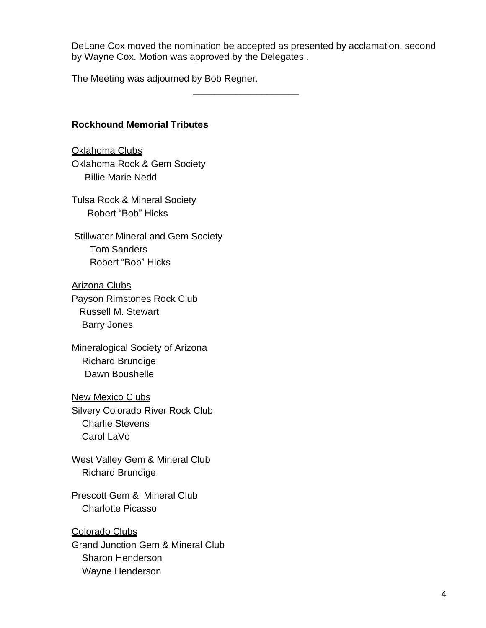DeLane Cox moved the nomination be accepted as presented by acclamation, second by Wayne Cox. Motion was approved by the Delegates .

\_\_\_\_\_\_\_\_\_\_\_\_\_\_\_\_\_\_\_\_

The Meeting was adjourned by Bob Regner.

# **Rockhound Memorial Tributes**

Oklahoma Clubs Oklahoma Rock & Gem Society Billie Marie Nedd

Tulsa Rock & Mineral Society Robert "Bob" Hicks

Stillwater Mineral and Gem Society Tom Sanders Robert "Bob" Hicks

Arizona Clubs Payson Rimstones Rock Club Russell M. Stewart Barry Jones

Mineralogical Society of Arizona Richard Brundige Dawn Boushelle

New Mexico Clubs Silvery Colorado River Rock Club Charlie Stevens

Carol LaVo

West Valley Gem & Mineral Club Richard Brundige

Prescott Gem & Mineral Club Charlotte Picasso

Colorado Clubs Grand Junction Gem & Mineral Club Sharon Henderson Wayne Henderson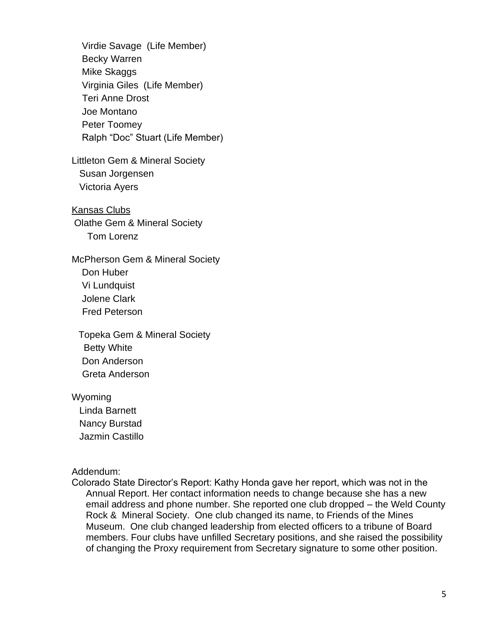Virdie Savage (Life Member) Becky Warren Mike Skaggs Virginia Giles (Life Member) Teri Anne Drost Joe Montano Peter Toomey Ralph "Doc" Stuart (Life Member) Littleton Gem & Mineral Society Susan Jorgensen Victoria Ayers Kansas Clubs Olathe Gem & Mineral Society Tom Lorenz McPherson Gem & Mineral Society Don Huber Vi Lundquist Jolene Clark Fred Peterson Topeka Gem & Mineral Society Betty White Don Anderson Greta Anderson Wyoming

 Linda Barnett Nancy Burstad Jazmin Castillo

Addendum:

Colorado State Director's Report: Kathy Honda gave her report, which was not in the Annual Report. Her contact information needs to change because she has a new email address and phone number. She reported one club dropped – the Weld County Rock & Mineral Society. One club changed its name, to Friends of the Mines Museum. One club changed leadership from elected officers to a tribune of Board members. Four clubs have unfilled Secretary positions, and she raised the possibility of changing the Proxy requirement from Secretary signature to some other position.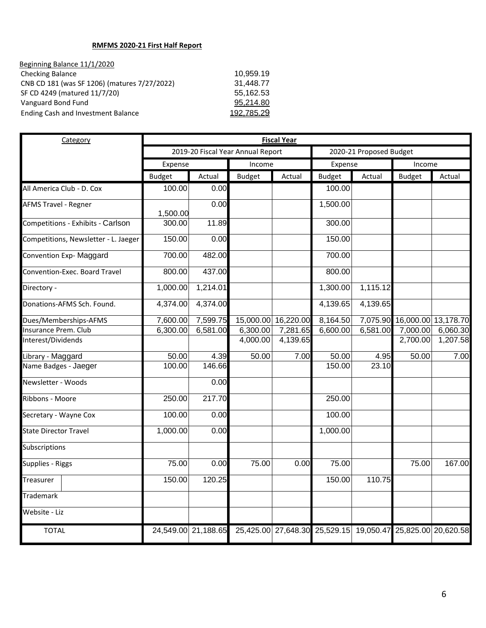#### **RMFMS 2020-21 First Half Report**

| Beginning Balance 11/1/2020                  |            |
|----------------------------------------------|------------|
| <b>Checking Balance</b>                      | 10.959.19  |
| CNB CD 181 (was SF 1206) (matures 7/27/2022) | 31.448.77  |
| SF CD 4249 (matured 11/7/20)                 | 55,162.53  |
| Vanguard Bond Fund                           | 95.214.80  |
| Ending Cash and Investment Balance           | 192 785 29 |
|                                              |            |

| Category                             | <b>Fiscal Year</b>                |                     |               |           |                                                             |          |                              |          |  |
|--------------------------------------|-----------------------------------|---------------------|---------------|-----------|-------------------------------------------------------------|----------|------------------------------|----------|--|
|                                      | 2019-20 Fiscal Year Annual Report |                     |               |           | 2020-21 Proposed Budget                                     |          |                              |          |  |
|                                      | Expense                           |                     | Income        |           | Expense                                                     |          | Income                       |          |  |
|                                      | <b>Budget</b>                     | Actual              | <b>Budget</b> | Actual    | <b>Budget</b>                                               | Actual   | <b>Budget</b>                | Actual   |  |
| All America Club - D. Cox            | 100.00                            | 0.00                |               |           | 100.00                                                      |          |                              |          |  |
| <b>AFMS Travel - Regner</b>          | 1,500.00                          | 0.00                |               |           | 1,500.00                                                    |          |                              |          |  |
| Competitions - Exhibits - Carlson    | 300.00                            | 11.89               |               |           | 300.00                                                      |          |                              |          |  |
| Competitions, Newsletter - L. Jaeger | 150.00                            | 0.00                |               |           | 150.00                                                      |          |                              |          |  |
| Convention Exp- Maggard              | 700.00                            | 482.00              |               |           | 700.00                                                      |          |                              |          |  |
| Convention-Exec. Board Travel        | 800.00                            | 437.00              |               |           | 800.00                                                      |          |                              |          |  |
| Directory -                          | 1,000.00                          | 1,214.01            |               |           | 1,300.00                                                    | 1,115.12 |                              |          |  |
| Donations-AFMS Sch. Found.           | 4,374.00                          | 4,374.00            |               |           | 4,139.65                                                    | 4,139.65 |                              |          |  |
| Dues/Memberships-AFMS                | 7,600.00                          | 7,599.75            | 15,000.00     | 16,220.00 | 8,164.50                                                    |          | 7,075.90 16,000.00 13,178.70 |          |  |
| Insurance Prem. Club                 | 6,300.00                          | 6,581.00            | 6,300.00      | 7,281.65  | 6,600.00                                                    | 6,581.00 | 7,000.00                     | 6,060.30 |  |
| Interest/Dividends                   |                                   |                     | 4,000.00      | 4,139.65  |                                                             |          | 2,700.00                     | 1,207.58 |  |
| Library - Maggard                    | 50.00                             | 4.39                | 50.00         | 7.00      | 50.00                                                       | 4.95     | 50.00                        | 7.00     |  |
| Name Badges - Jaeger                 | 100.00                            | 146.66              |               |           | 150.00                                                      | 23.10    |                              |          |  |
| Newsletter - Woods                   |                                   | 0.00                |               |           |                                                             |          |                              |          |  |
| Ribbons - Moore                      | 250.00                            | 217.70              |               |           | 250.00                                                      |          |                              |          |  |
| Secretary - Wayne Cox                | 100.00                            | 0.00                |               |           | 100.00                                                      |          |                              |          |  |
| <b>State Director Travel</b>         | 1,000.00                          | 0.00                |               |           | 1,000.00                                                    |          |                              |          |  |
| Subscriptions                        |                                   |                     |               |           |                                                             |          |                              |          |  |
| Supplies - Riggs                     | 75.00                             | 0.00                | 75.00         | 0.00      | 75.00                                                       |          | 75.00                        | 167.00   |  |
| Treasurer                            | 150.00                            | 120.25              |               |           | 150.00                                                      | 110.75   |                              |          |  |
| Trademark                            |                                   |                     |               |           |                                                             |          |                              |          |  |
| Website - Liz                        |                                   |                     |               |           |                                                             |          |                              |          |  |
| <b>TOTAL</b>                         |                                   | 24,549.00 21,188.65 |               |           | 25,425.00 27,648.30 25,529.15 19,050.47 25,825.00 20,620.58 |          |                              |          |  |